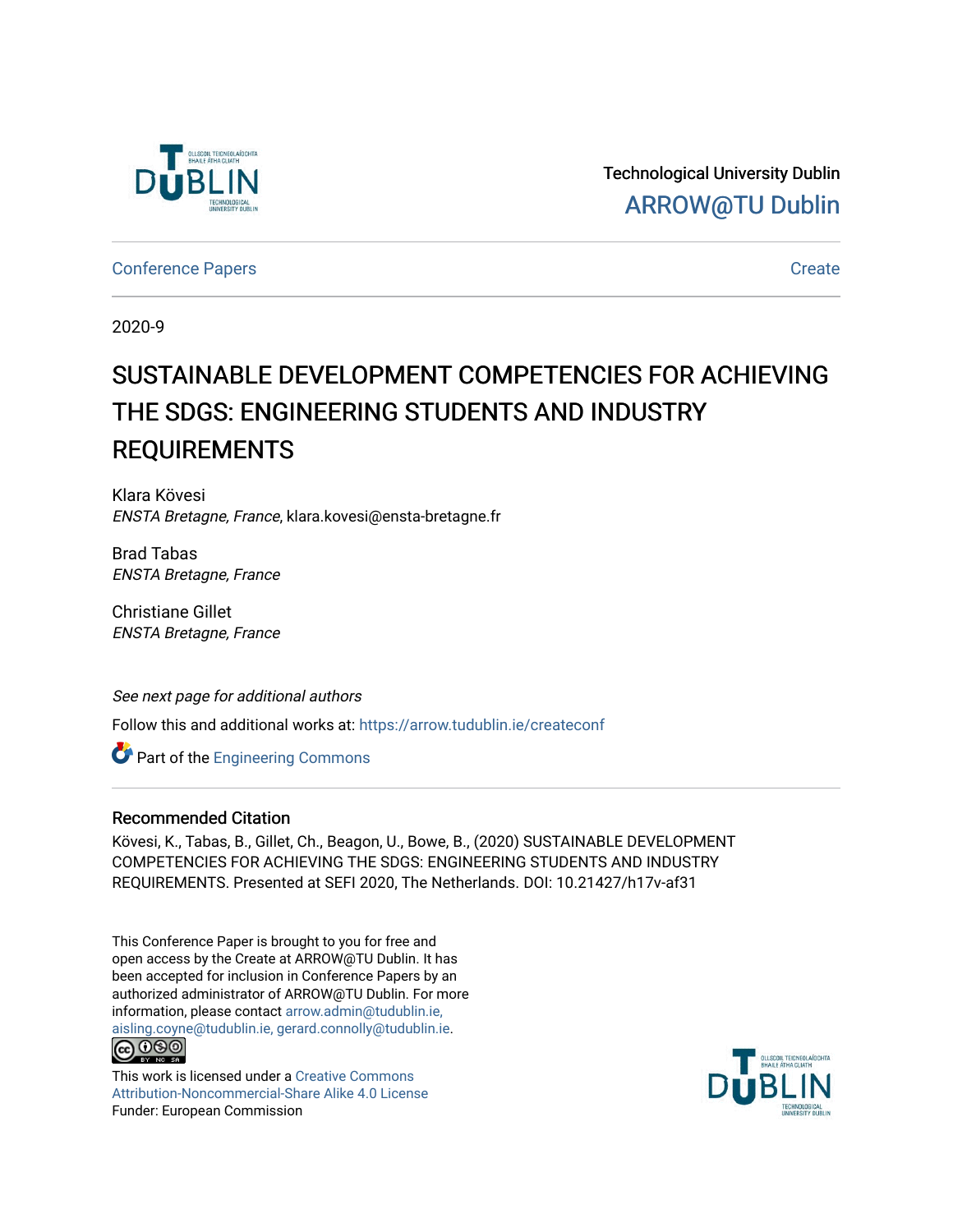

Technological University Dublin [ARROW@TU Dublin](https://arrow.tudublin.ie/) 

[Conference Papers](https://arrow.tudublin.ie/createconf) **Create** 

2020-9

# SUSTAINABLE DEVELOPMENT COMPETENCIES FOR ACHIEVING THE SDGS: ENGINEERING STUDENTS AND INDUSTRY REQUIREMENTS

Klara Kövesi ENSTA Bretagne, France, klara.kovesi@ensta-bretagne.fr

Brad Tabas ENSTA Bretagne, France

Christiane Gillet ENSTA Bretagne, France

See next page for additional authors

Follow this and additional works at: [https://arrow.tudublin.ie/createconf](https://arrow.tudublin.ie/createconf?utm_source=arrow.tudublin.ie%2Fcreateconf%2F6&utm_medium=PDF&utm_campaign=PDFCoverPages) 

**Part of the [Engineering Commons](http://network.bepress.com/hgg/discipline/217?utm_source=arrow.tudublin.ie%2Fcreateconf%2F6&utm_medium=PDF&utm_campaign=PDFCoverPages)** 

#### Recommended Citation

Kövesi, K., Tabas, B., Gillet, Ch., Beagon, U., Bowe, B., (2020) SUSTAINABLE DEVELOPMENT COMPETENCIES FOR ACHIEVING THE SDGS: ENGINEERING STUDENTS AND INDUSTRY REQUIREMENTS. Presented at SEFI 2020, The Netherlands. DOI: 10.21427/h17v-af31

This Conference Paper is brought to you for free and open access by the Create at ARROW@TU Dublin. It has been accepted for inclusion in Conference Papers by an authorized administrator of ARROW@TU Dublin. For more information, please contact [arrow.admin@tudublin.ie,](mailto:arrow.admin@tudublin.ie,%20aisling.coyne@tudublin.ie,%20gerard.connolly@tudublin.ie)  [aisling.coyne@tudublin.ie, gerard.connolly@tudublin.ie](mailto:arrow.admin@tudublin.ie,%20aisling.coyne@tudublin.ie,%20gerard.connolly@tudublin.ie). **@** 00

This work is licensed under a [Creative Commons](http://creativecommons.org/licenses/by-nc-sa/4.0/) [Attribution-Noncommercial-Share Alike 4.0 License](http://creativecommons.org/licenses/by-nc-sa/4.0/) Funder: European Commission

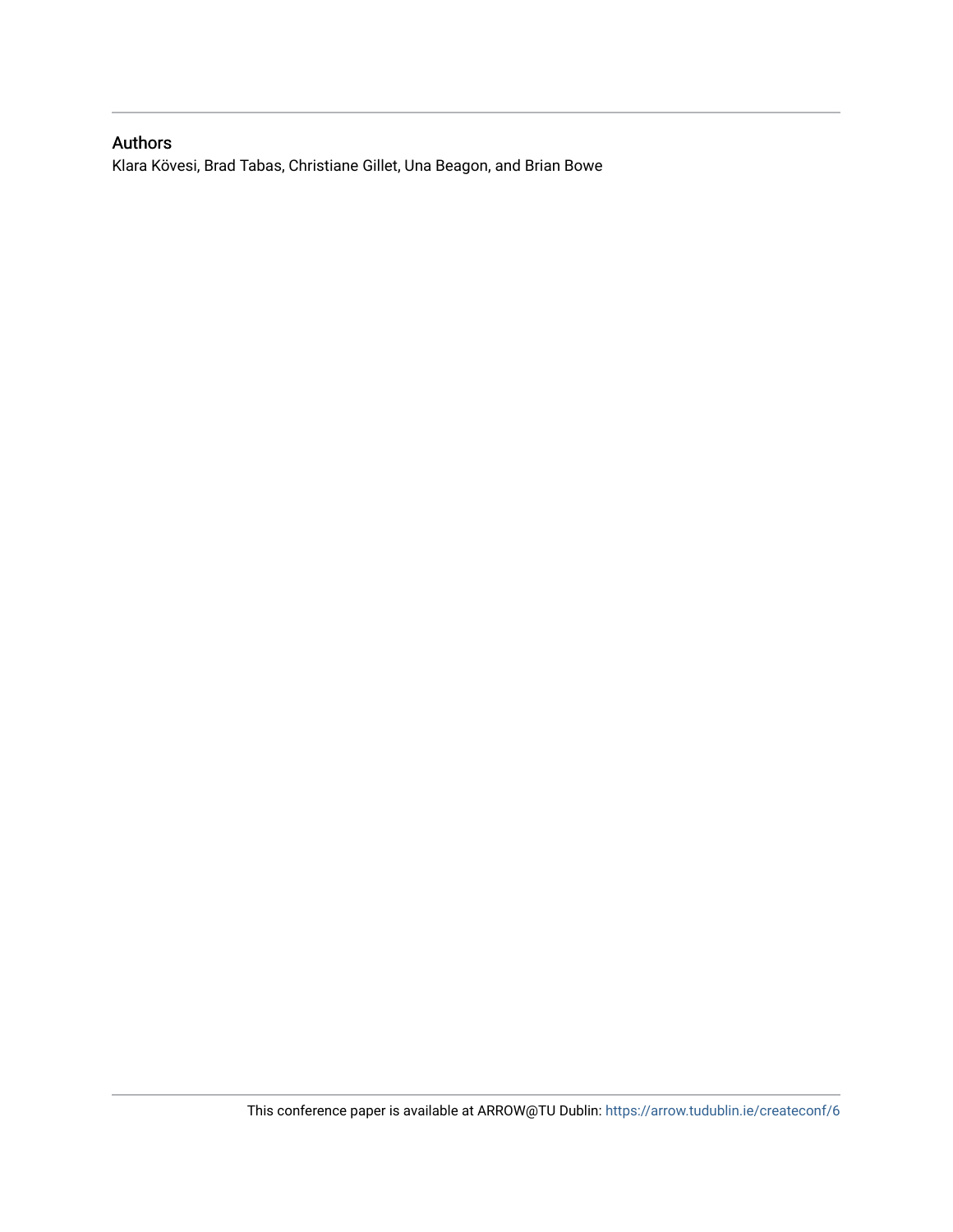#### Authors

Klara Kövesi, Brad Tabas, Christiane Gillet, Una Beagon, and Brian Bowe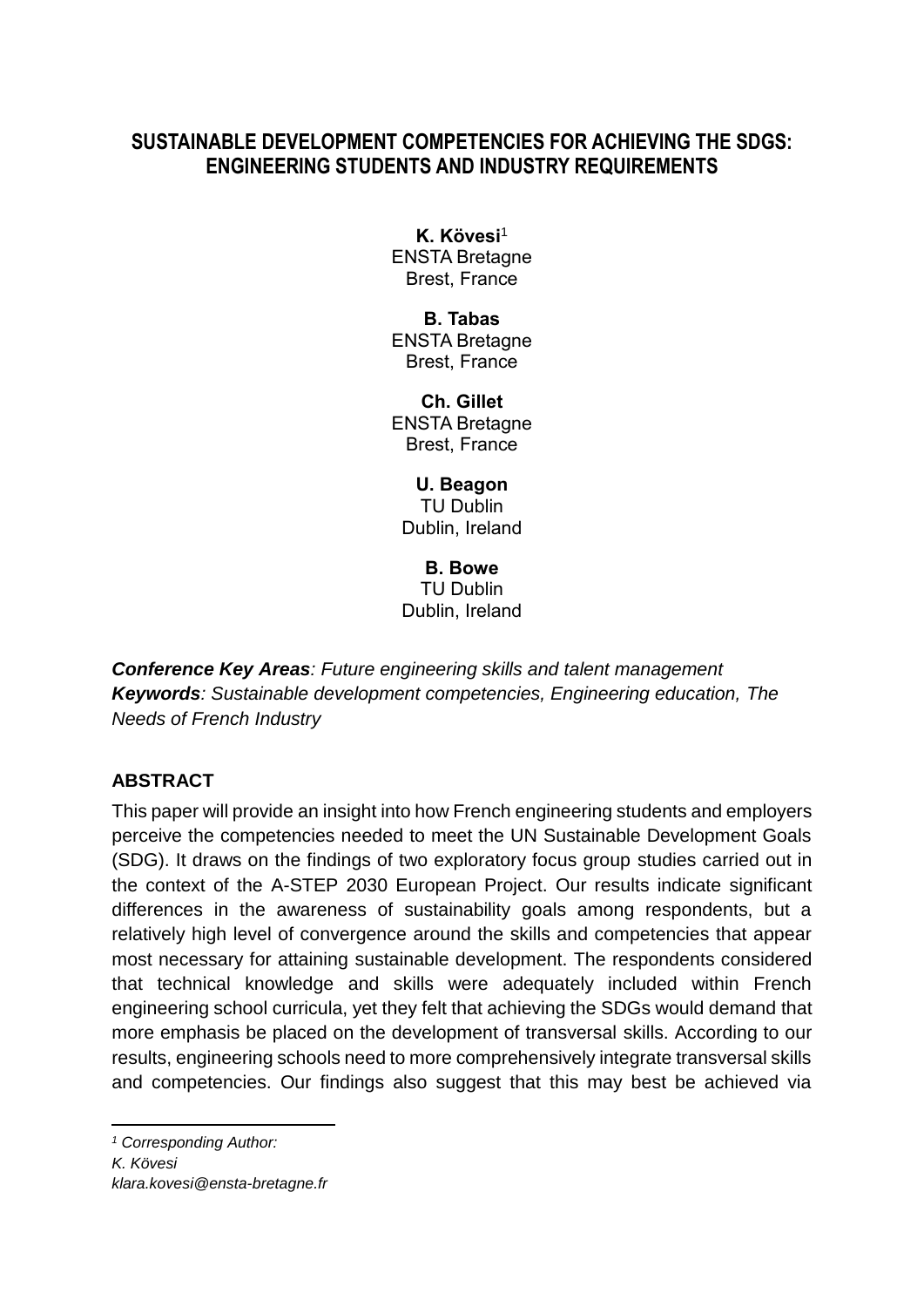# **SUSTAINABLE DEVELOPMENT COMPETENCIES FOR ACHIEVING THE SDGS: ENGINEERING STUDENTS AND INDUSTRY REQUIREMENTS**

**K. Kövesi**<sup>1</sup> ENSTA Bretagne Brest, France

**B. Tabas** ENSTA Bretagne Brest, France

**Ch. Gillet** ENSTA Bretagne Brest, France

**U. Beagon** TU Dublin Dublin, Ireland

**B. Bowe** TU Dublin Dublin, Ireland

*Conference Key Areas: Future engineering skills and talent management Keywords: Sustainable development competencies, Engineering education, The Needs of French Industry*

# **ABSTRACT**

This paper will provide an insight into how French engineering students and employers perceive the competencies needed to meet the UN Sustainable Development Goals (SDG). It draws on the findings of two exploratory focus group studies carried out in the context of the A-STEP 2030 European Project. Our results indicate significant differences in the awareness of sustainability goals among respondents, but a relatively high level of convergence around the skills and competencies that appear most necessary for attaining sustainable development. The respondents considered that technical knowledge and skills were adequately included within French engineering school curricula, yet they felt that achieving the SDGs would demand that more emphasis be placed on the development of transversal skills. According to our results, engineering schools need to more comprehensively integrate transversal skills and competencies. Our findings also suggest that this may best be achieved via

*<sup>1</sup> Corresponding Author: K. Kövesi*

-

*klara.kovesi@ensta-bretagne.fr*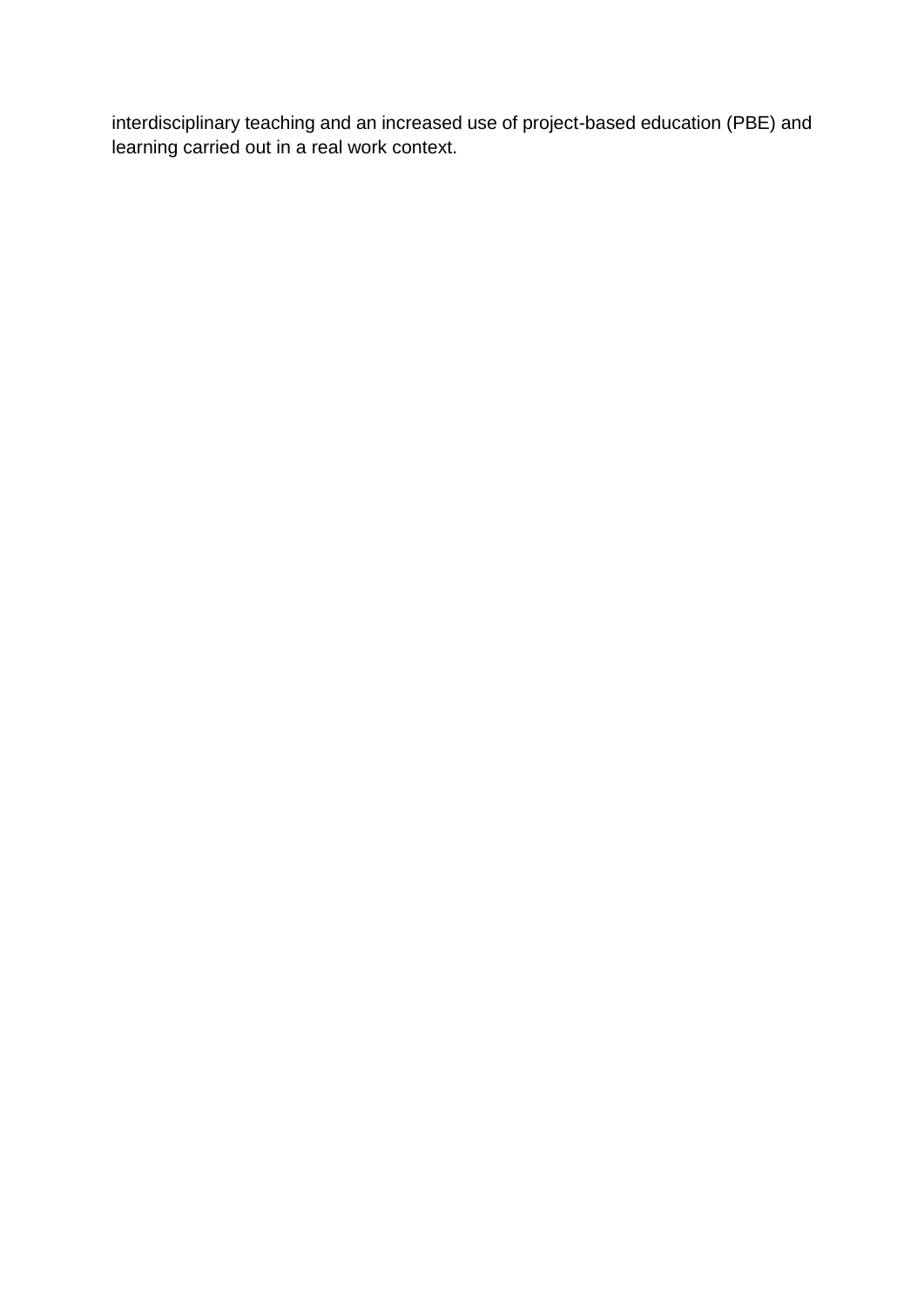interdisciplinary teaching and an increased use of project-based education (PBE) and learning carried out in a real work context.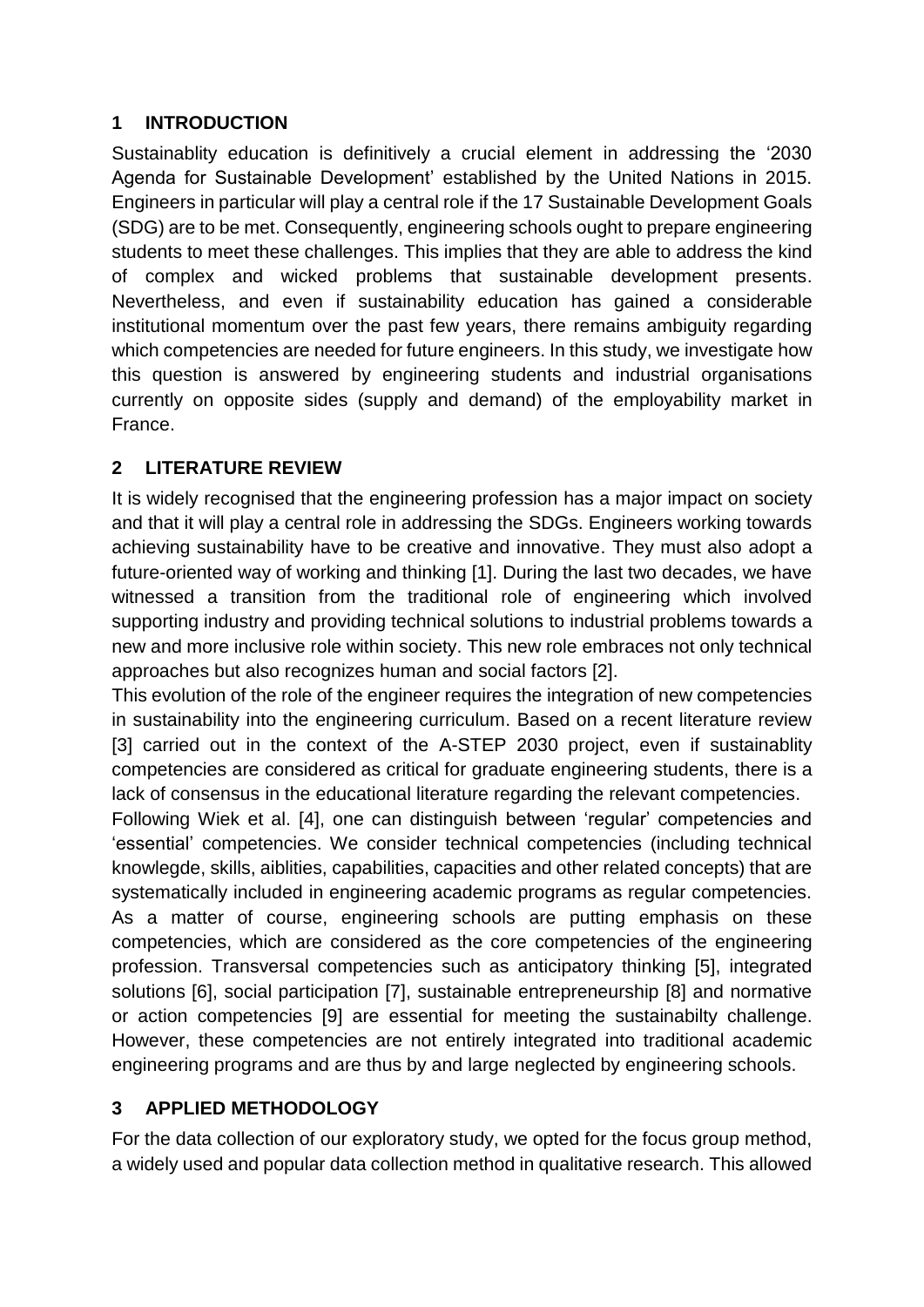# **1 INTRODUCTION**

Sustainablity education is definitively a crucial element in addressing the '2030 Agenda for Sustainable Development' established by the United Nations in 2015. Engineers in particular will play a central role if the 17 Sustainable Development Goals (SDG) are to be met. Consequently, engineering schools ought to prepare engineering students to meet these challenges. This implies that they are able to address the kind of complex and wicked problems that sustainable development presents. Nevertheless, and even if sustainability education has gained a considerable institutional momentum over the past few years, there remains ambiguity regarding which competencies are needed for future engineers. In this study, we investigate how this question is answered by engineering students and industrial organisations currently on opposite sides (supply and demand) of the employability market in France.

# **2 LITERATURE REVIEW**

It is widely recognised that the engineering profession has a major impact on society and that it will play a central role in addressing the SDGs. Engineers working towards achieving sustainability have to be creative and innovative. They must also adopt a future-oriented way of working and thinking [1]. During the last two decades, we have witnessed a transition from the traditional role of engineering which involved supporting industry and providing technical solutions to industrial problems towards a new and more inclusive role within society. This new role embraces not only technical approaches but also recognizes human and social factors [2].

This evolution of the role of the engineer requires the integration of new competencies in sustainability into the engineering curriculum. Based on a recent literature review [3] carried out in the context of the A-STEP 2030 project, even if sustainablity competencies are considered as critical for graduate engineering students, there is a lack of consensus in the educational literature regarding the relevant competencies.

Following Wiek et al. [4], one can distinguish between 'regular' competencies and 'essential' competencies. We consider technical competencies (including technical knowlegde, skills, aiblities, capabilities, capacities and other related concepts) that are systematically included in engineering academic programs as regular competencies. As a matter of course, engineering schools are putting emphasis on these competencies, which are considered as the core competencies of the engineering profession. Transversal competencies such as anticipatory thinking [5], integrated solutions [6], social participation [7], sustainable entrepreneurship [8] and normative or action competencies [9] are essential for meeting the sustainabilty challenge. However, these competencies are not entirely integrated into traditional academic engineering programs and are thus by and large neglected by engineering schools.

# **3 APPLIED METHODOLOGY**

For the data collection of our exploratory study, we opted for the focus group method, a widely used and popular data collection method in qualitative research. This allowed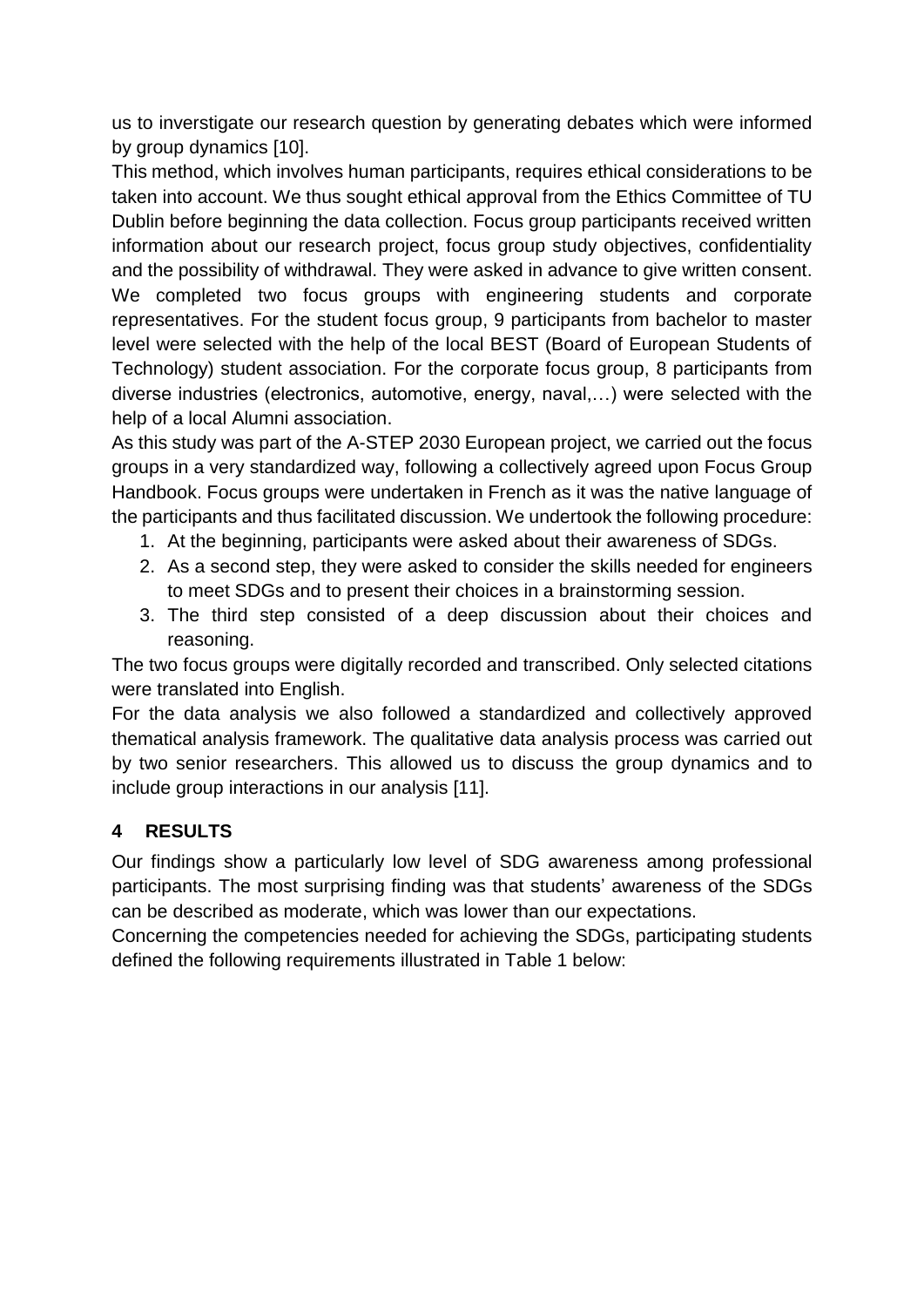us to inverstigate our research question by generating debates which were informed by group dynamics [10].

This method, which involves human participants, requires ethical considerations to be taken into account. We thus sought ethical approval from the Ethics Committee of TU Dublin before beginning the data collection. Focus group participants received written information about our research project, focus group study objectives, confidentiality and the possibility of withdrawal. They were asked in advance to give written consent. We completed two focus groups with engineering students and corporate representatives. For the student focus group, 9 participants from bachelor to master level were selected with the help of the local BEST (Board of European Students of Technology) student association. For the corporate focus group, 8 participants from diverse industries (electronics, automotive, energy, naval,…) were selected with the help of a local Alumni association.

As this study was part of the A-STEP 2030 European project, we carried out the focus groups in a very standardized way, following a collectively agreed upon Focus Group Handbook. Focus groups were undertaken in French as it was the native language of the participants and thus facilitated discussion. We undertook the following procedure:

- 1. At the beginning, participants were asked about their awareness of SDGs.
- 2. As a second step, they were asked to consider the skills needed for engineers to meet SDGs and to present their choices in a brainstorming session.
- 3. The third step consisted of a deep discussion about their choices and reasoning.

The two focus groups were digitally recorded and transcribed. Only selected citations were translated into English.

For the data analysis we also followed a standardized and collectively approved thematical analysis framework. The qualitative data analysis process was carried out by two senior researchers. This allowed us to discuss the group dynamics and to include group interactions in our analysis [11].

# **4 RESULTS**

Our findings show a particularly low level of SDG awareness among professional participants. The most surprising finding was that students' awareness of the SDGs can be described as moderate, which was lower than our expectations.

Concerning the competencies needed for achieving the SDGs, participating students defined the following requirements illustrated in Table 1 below: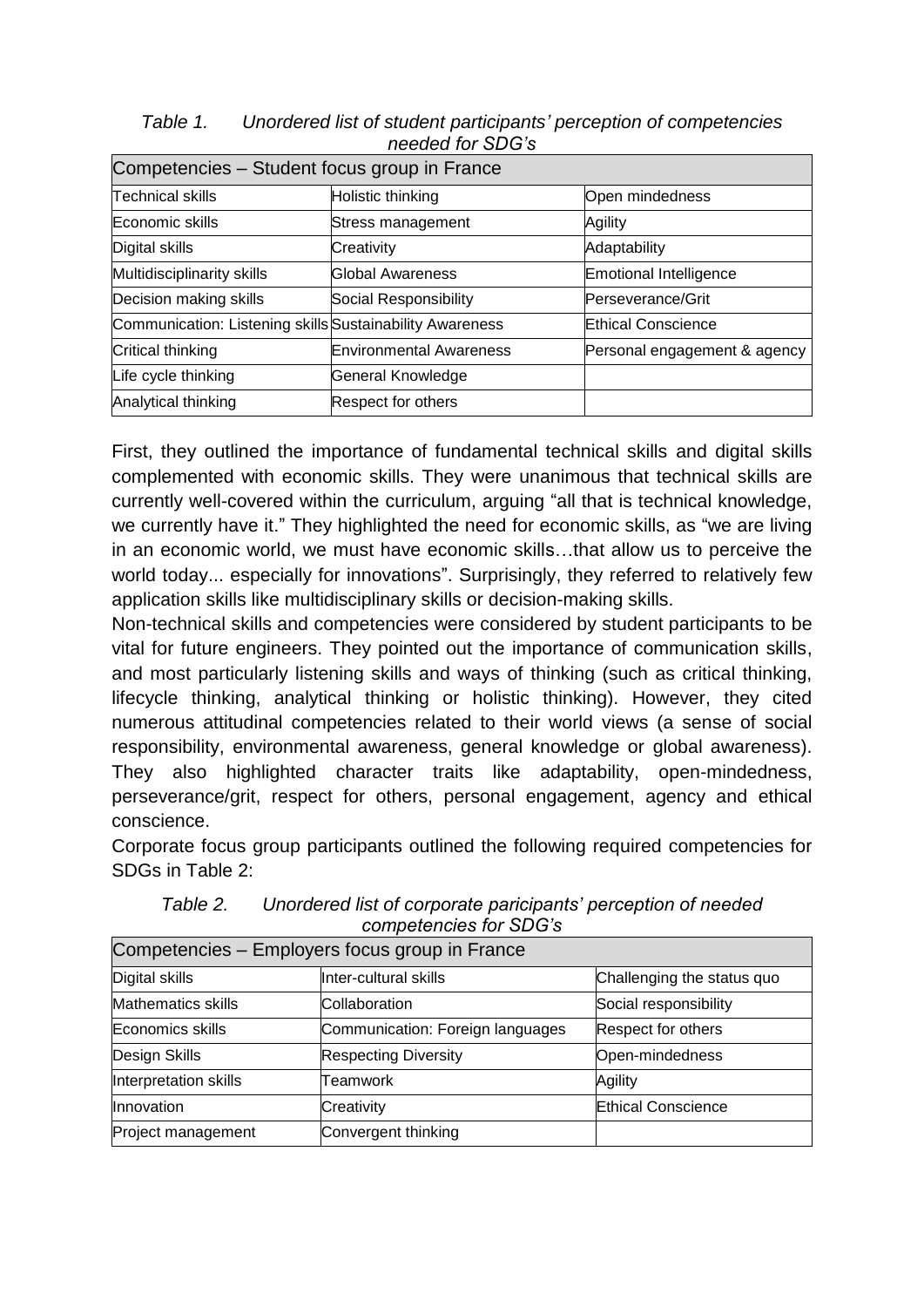| Table 1. | Unordered list of student participants' perception of competencies |
|----------|--------------------------------------------------------------------|
|          | needed for SDG's                                                   |

| Competencies – Student focus group in France             |                                |                               |  |  |
|----------------------------------------------------------|--------------------------------|-------------------------------|--|--|
| <b>Technical skills</b>                                  | Holistic thinking              | Open mindedness               |  |  |
| Economic skills                                          | Stress management              | Agility                       |  |  |
| Digital skills                                           | Creativity                     | Adaptability                  |  |  |
| Multidisciplinarity skills                               | Global Awareness               | <b>Emotional Intelligence</b> |  |  |
| Decision making skills                                   | Social Responsibility          | Perseverance/Grit             |  |  |
| Communication: Listening skills Sustainability Awareness |                                | <b>Ethical Conscience</b>     |  |  |
| Critical thinking                                        | <b>Environmental Awareness</b> | Personal engagement & agency  |  |  |
| Life cycle thinking                                      | General Knowledge              |                               |  |  |
| Analytical thinking                                      | Respect for others             |                               |  |  |

First, they outlined the importance of fundamental technical skills and digital skills complemented with economic skills. They were unanimous that technical skills are currently well-covered within the curriculum, arguing "all that is technical knowledge, we currently have it." They highlighted the need for economic skills, as "we are living in an economic world, we must have economic skills…that allow us to perceive the world today... especially for innovations". Surprisingly, they referred to relatively few application skills like multidisciplinary skills or decision-making skills.

Non-technical skills and competencies were considered by student participants to be vital for future engineers. They pointed out the importance of communication skills, and most particularly listening skills and ways of thinking (such as critical thinking, lifecycle thinking, analytical thinking or holistic thinking). However, they cited numerous attitudinal competencies related to their world views (a sense of social responsibility, environmental awareness, general knowledge or global awareness). They also highlighted character traits like adaptability, open-mindedness, perseverance/grit, respect for others, personal engagement, agency and ethical conscience.

Corporate focus group participants outlined the following required competencies for SDGs in Table 2:

| Competencies – Employers focus group in France |                                  |                            |  |  |
|------------------------------------------------|----------------------------------|----------------------------|--|--|
| Digital skills                                 | Inter-cultural skills            | Challenging the status quo |  |  |
| <b>Mathematics skills</b>                      | Collaboration                    | Social responsibility      |  |  |
| Economics skills                               | Communication: Foreign languages | Respect for others         |  |  |
| Design Skills                                  | <b>Respecting Diversity</b>      | Open-mindedness            |  |  |
| Interpretation skills                          | Teamwork                         | Agility                    |  |  |
| Innovation                                     | Creativity                       | <b>Ethical Conscience</b>  |  |  |
| Project management                             | Convergent thinking              |                            |  |  |

*Table 2. Unordered list of corporate paricipants' perception of needed competencies for SDG's*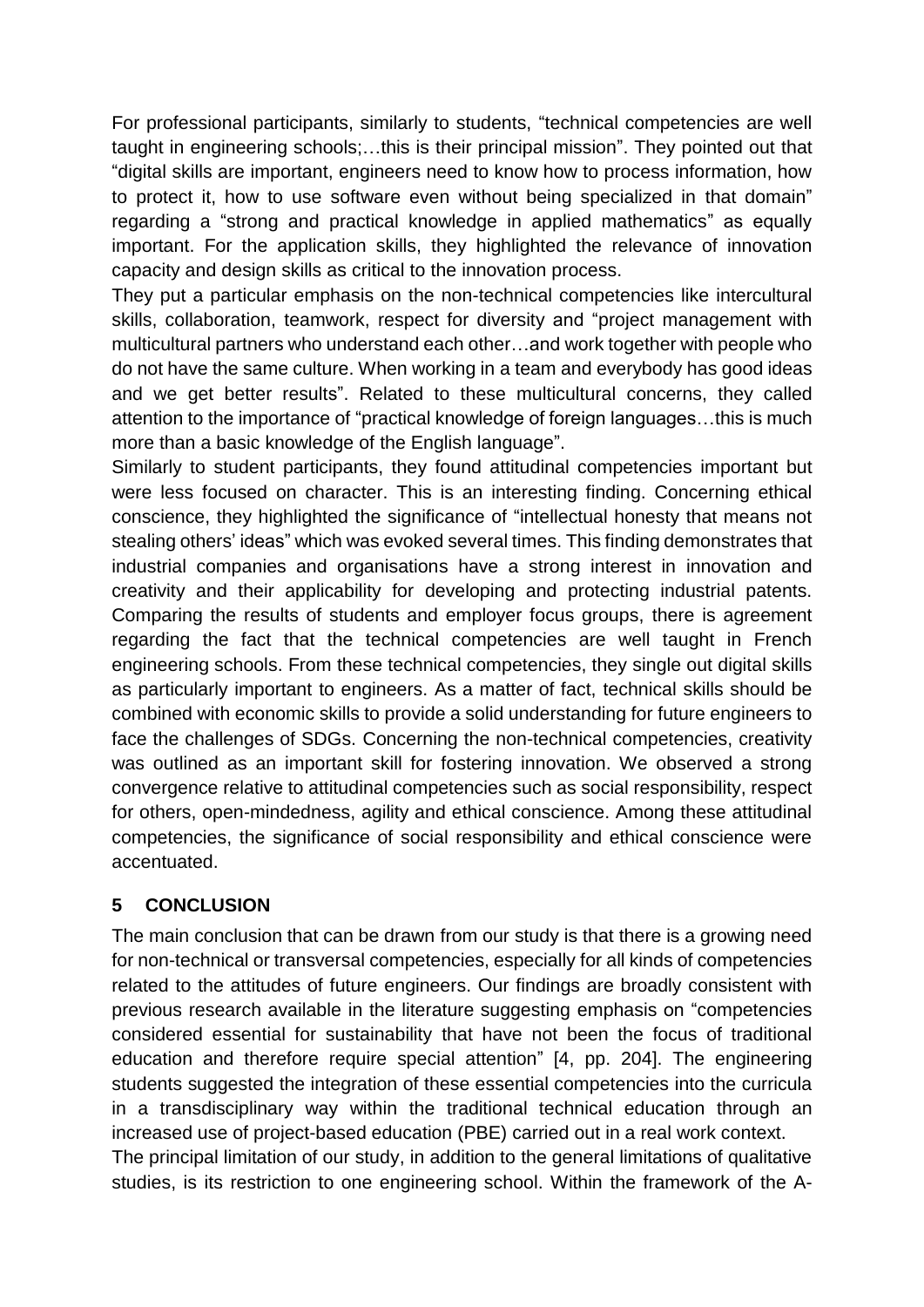For professional participants, similarly to students, "technical competencies are well taught in engineering schools;…this is their principal mission". They pointed out that "digital skills are important, engineers need to know how to process information, how to protect it, how to use software even without being specialized in that domain" regarding a "strong and practical knowledge in applied mathematics" as equally important. For the application skills, they highlighted the relevance of innovation capacity and design skills as critical to the innovation process.

They put a particular emphasis on the non-technical competencies like intercultural skills, collaboration, teamwork, respect for diversity and "project management with multicultural partners who understand each other…and work together with people who do not have the same culture. When working in a team and everybody has good ideas and we get better results". Related to these multicultural concerns, they called attention to the importance of "practical knowledge of foreign languages…this is much more than a basic knowledge of the English language".

Similarly to student participants, they found attitudinal competencies important but were less focused on character. This is an interesting finding. Concerning ethical conscience, they highlighted the significance of "intellectual honesty that means not stealing others' ideas" which was evoked several times. This finding demonstrates that industrial companies and organisations have a strong interest in innovation and creativity and their applicability for developing and protecting industrial patents. Comparing the results of students and employer focus groups, there is agreement regarding the fact that the technical competencies are well taught in French engineering schools. From these technical competencies, they single out digital skills as particularly important to engineers. As a matter of fact, technical skills should be combined with economic skills to provide a solid understanding for future engineers to face the challenges of SDGs. Concerning the non-technical competencies, creativity was outlined as an important skill for fostering innovation. We observed a strong convergence relative to attitudinal competencies such as social responsibility, respect for others, open-mindedness, agility and ethical conscience. Among these attitudinal competencies, the significance of social responsibility and ethical conscience were accentuated.

# **5 CONCLUSION**

The main conclusion that can be drawn from our study is that there is a growing need for non-technical or transversal competencies, especially for all kinds of competencies related to the attitudes of future engineers. Our findings are broadly consistent with previous research available in the literature suggesting emphasis on "competencies considered essential for sustainability that have not been the focus of traditional education and therefore require special attention" [4, pp. 204]. The engineering students suggested the integration of these essential competencies into the curricula in a transdisciplinary way within the traditional technical education through an increased use of project-based education (PBE) carried out in a real work context. The principal limitation of our study, in addition to the general limitations of qualitative studies, is its restriction to one engineering school. Within the framework of the A-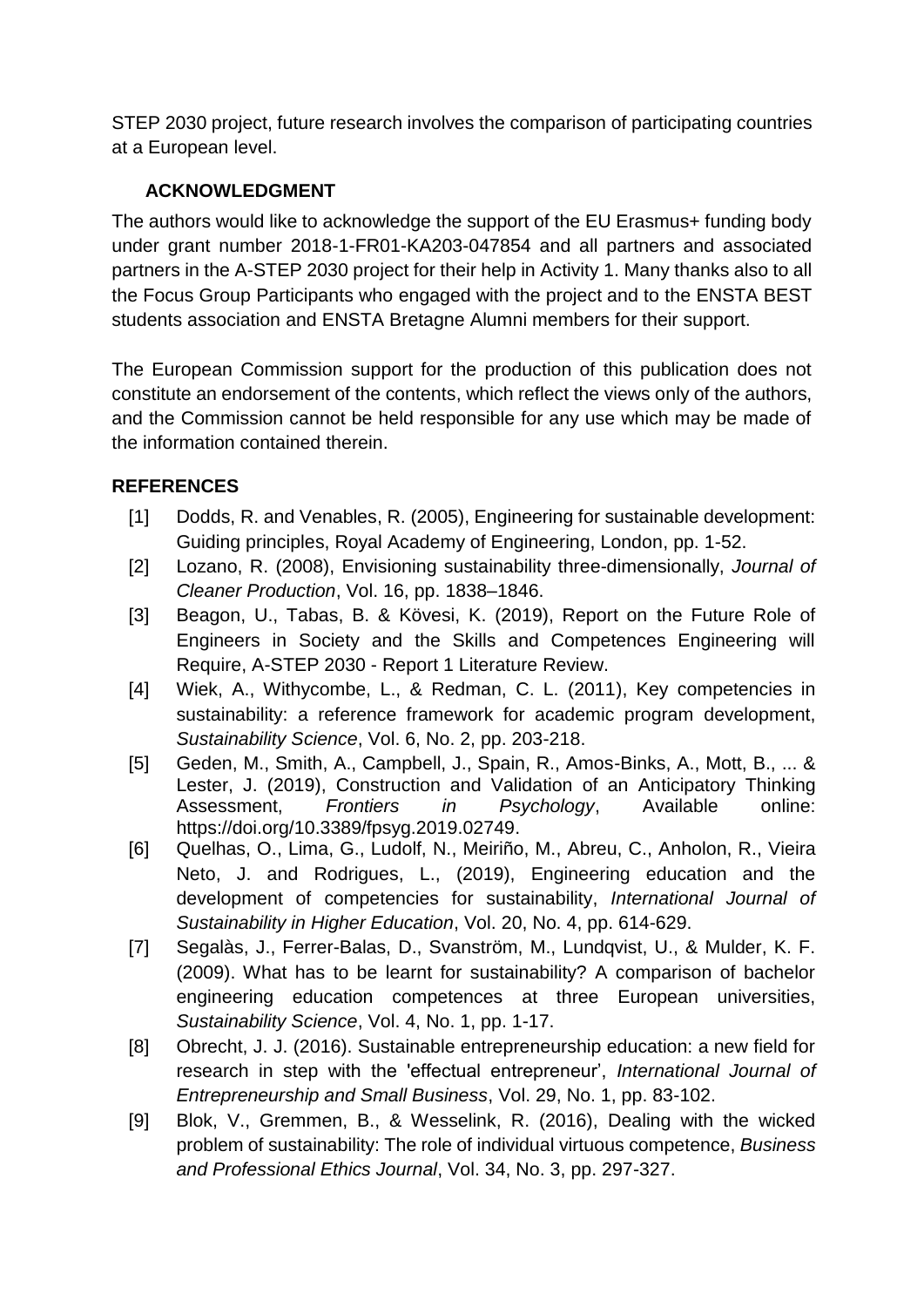STEP 2030 project, future research involves the comparison of participating countries at a European level.

# **ACKNOWLEDGMENT**

The authors would like to acknowledge the support of the EU Erasmus+ funding body under grant number 2018-1-FR01-KA203-047854 and all partners and associated partners in the A-STEP 2030 project for their help in Activity 1. Many thanks also to all the Focus Group Participants who engaged with the project and to the ENSTA BEST students association and ENSTA Bretagne Alumni members for their support.

The European Commission support for the production of this publication does not constitute an endorsement of the contents, which reflect the views only of the authors, and the Commission cannot be held responsible for any use which may be made of the information contained therein.

#### **REFERENCES**

- [1] Dodds, R. and Venables, R. (2005), Engineering for sustainable development: Guiding principles, Royal Academy of Engineering, London, pp. 1-52.
- [2] Lozano, R. (2008), Envisioning sustainability three-dimensionally, *Journal of Cleaner Production*, Vol. 16, pp. 1838–1846.
- [3] Beagon, U., Tabas, B. & Kövesi, K. (2019), Report on the Future Role of Engineers in Society and the Skills and Competences Engineering will Require, A-STEP 2030 - Report 1 Literature Review.
- [4] Wiek, A., Withycombe, L., & Redman, C. L. (2011), Key competencies in sustainability: a reference framework for academic program development, *Sustainability Science*, Vol. 6, No. 2, pp. 203-218.
- [5] Geden, M., Smith, A., Campbell, J., Spain, R., Amos-Binks, A., Mott, B., ... & Lester, J. (2019), Construction and Validation of an Anticipatory Thinking Assessment, *Frontiers in Psychology*, Available online: [https://doi.org/10.3389/fpsyg.2019.02749.](https://doi.org/10.3389/fpsyg.2019.02749)
- [6] [Quelhas, O.,](https://www.emerald.com/insight/search?q=Osvaldo%20Luiz%20Gon%C3%A7alves%20Quelhas) [Lima, G.,](https://www.emerald.com/insight/search?q=Gilson%20Brito%20Alves%20Lima) [Ludolf, N.,](https://www.emerald.com/insight/search?q=Nicholas%20Van-Erven%20Ludolf) [Meiriño, M.,](https://www.emerald.com/insight/search?q=Marcelo%20Jasmim%20Meiri%C3%B1o) [Abreu, C.,](https://www.emerald.com/insight/search?q=Chrystyane%20Abreu) [Anholon, R.,](https://www.emerald.com/insight/search?q=Rosley%20Anholon) [Vieira](https://www.emerald.com/insight/search?q=Julio%20Vieira%20Neto)  [Neto, J.](https://www.emerald.com/insight/search?q=Julio%20Vieira%20Neto) and [Rodrigues, L.,](https://www.emerald.com/insight/search?q=Leandro%20Silva%20Goulart%20Rodrigues) (2019), Engineering education and the development of competencies for sustainability, *[International Journal of](https://www.emerald.com/insight/publication/issn/1467-6370)  [Sustainability in Higher Education](https://www.emerald.com/insight/publication/issn/1467-6370)*, Vol. 20, No. 4, pp. 614-629.
- [7] Segalàs, J., Ferrer-Balas, D., Svanström, M., Lundqvist, U., & Mulder, K. F. (2009). What has to be learnt for sustainability? A comparison of bachelor engineering education competences at three European universities, *Sustainability Science*, Vol. 4, No. 1, pp. 1-17.
- [8] Obrecht, J. J. (2016). Sustainable entrepreneurship education: a new field for research in step with the 'effectual entrepreneur', *International Journal of Entrepreneurship and Small Business*, Vol. 29, No. 1, pp. 83-102.
- [9] Blok, V., Gremmen, B., & Wesselink, R. (2016), Dealing with the wicked problem of sustainability: The role of individual virtuous competence, *Business and Professional Ethics Journal*, Vol. 34, No. 3, pp. 297-327.